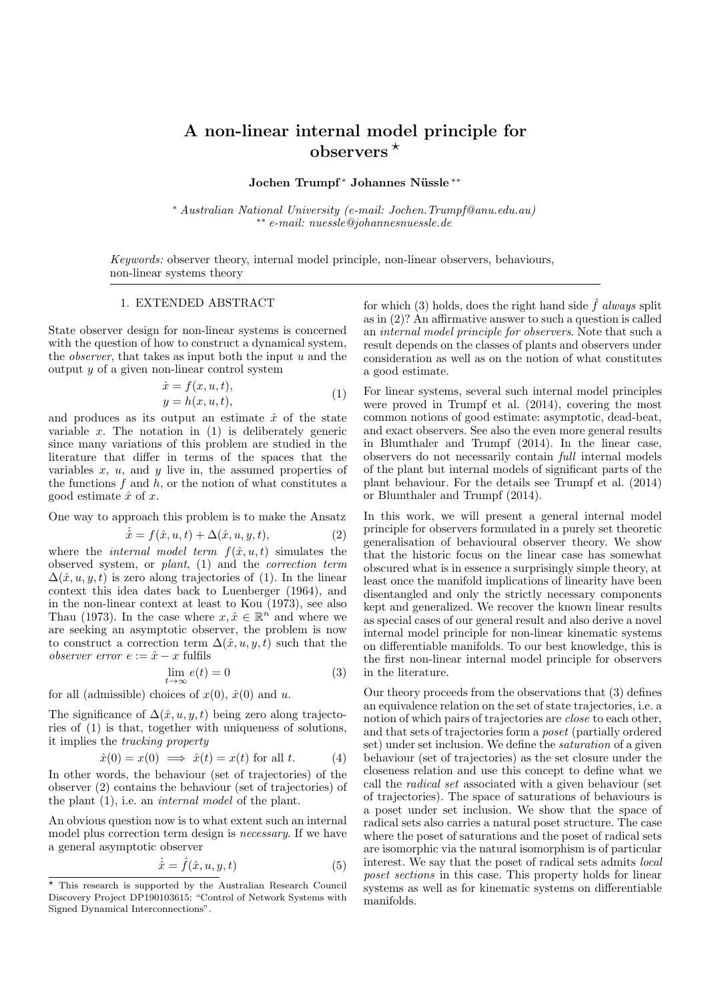## A non-linear internal model principle for observers  $*$

Jochen Trumpf<sup>\*</sup> Johannes Nüssle<sup>\*\*</sup>

<sup>∗</sup> Australian National University (e-mail: Jochen.Trumpf@anu.edu.au) ∗∗ e-mail: nuessle@johannesnuessle.de

Keywords: observer theory, internal model principle, non-linear observers, behaviours, non-linear systems theory

## 1. EXTENDED ABSTRACT

State observer design for non-linear systems is concerned with the question of how to construct a dynamical system, the *observer*, that takes as input both the input  $u$  and the output  $y$  of a given non-linear control system

$$
\begin{aligned}\n\dot{x} &= f(x, u, t), \\
y &= h(x, u, t),\n\end{aligned} \tag{1}
$$

and produces as its output an estimate  $\hat{x}$  of the state variable x. The notation in  $(1)$  is deliberately generic since many variations of this problem are studied in the literature that differ in terms of the spaces that the variables  $x$ ,  $u$ , and  $y$  live in, the assumed properties of the functions  $f$  and  $h$ , or the notion of what constitutes a good estimate  $\hat{x}$  of x.

One way to approach this problem is to make the Ansatz

$$
\dot{\hat{x}} = f(\hat{x}, u, t) + \Delta(\hat{x}, u, y, t), \tag{2}
$$

where the *internal model term*  $f(\hat{x}, u, t)$  simulates the observed system, or plant, (1) and the correction term  $\Delta(\hat{x}, u, y, t)$  is zero along trajectories of (1). In the linear context this idea dates back to Luenberger (1964), and in the non-linear context at least to Kou (1973), see also Thau (1973). In the case where  $x, \hat{x} \in \mathbb{R}^n$  and where we are seeking an asymptotic observer, the problem is now to construct a correction term  $\Delta(\hat{x}, u, y, t)$  such that the observer error  $e := \hat{x} - x$  fulfils

$$
\lim_{t \to \infty} e(t) = 0 \tag{3}
$$

for all (admissible) choices of  $x(0)$ ,  $\hat{x}(0)$  and u.

The significance of  $\Delta(\hat{x}, u, y, t)$  being zero along trajectories of (1) is that, together with uniqueness of solutions, it implies the tracking property

$$
\hat{x}(0) = x(0) \implies \hat{x}(t) = x(t) \text{ for all } t. \tag{4}
$$

In other words, the behaviour (set of trajectories) of the observer (2) contains the behaviour (set of trajectories) of the plant (1), i.e. an internal model of the plant.

An obvious question now is to what extent such an internal model plus correction term design is necessary. If we have a general asymptotic observer

$$
\dot{\hat{x}} = \hat{f}(\hat{x}, u, y, t) \tag{5}
$$

for which (3) holds, does the right hand side  $\hat{f}$  always split as in (2)? An affirmative answer to such a question is called an internal model principle for observers. Note that such a result depends on the classes of plants and observers under consideration as well as on the notion of what constitutes a good estimate.

For linear systems, several such internal model principles were proved in Trumpf et al. (2014), covering the most common notions of good estimate: asymptotic, dead-beat, and exact observers. See also the even more general results in Blumthaler and Trumpf (2014). In the linear case, observers do not necessarily contain full internal models of the plant but internal models of significant parts of the plant behaviour. For the details see Trumpf et al. (2014) or Blumthaler and Trumpf (2014).

In this work, we will present a general internal model principle for observers formulated in a purely set theoretic generalisation of behavioural observer theory. We show that the historic focus on the linear case has somewhat obscured what is in essence a surprisingly simple theory, at least once the manifold implications of linearity have been disentangled and only the strictly necessary components kept and generalized. We recover the known linear results as special cases of our general result and also derive a novel internal model principle for non-linear kinematic systems on differentiable manifolds. To our best knowledge, this is the first non-linear internal model principle for observers in the literature.

Our theory proceeds from the observations that (3) defines an equivalence relation on the set of state trajectories, i.e. a notion of which pairs of trajectories are close to each other, and that sets of trajectories form a poset (partially ordered set) under set inclusion. We define the saturation of a given behaviour (set of trajectories) as the set closure under the closeness relation and use this concept to define what we call the radical set associated with a given behaviour (set of trajectories). The space of saturations of behaviours is a poset under set inclusion. We show that the space of radical sets also carries a natural poset structure. The case where the poset of saturations and the poset of radical sets are isomorphic via the natural isomorphism is of particular interest. We say that the poset of radical sets admits local poset sections in this case. This property holds for linear systems as well as for kinematic systems on differentiable manifolds.

<sup>⋆</sup> This research is supported by the Australian Research Council Discovery Project DP190103615: "Control of Network Systems with Signed Dynamical Interconnections".